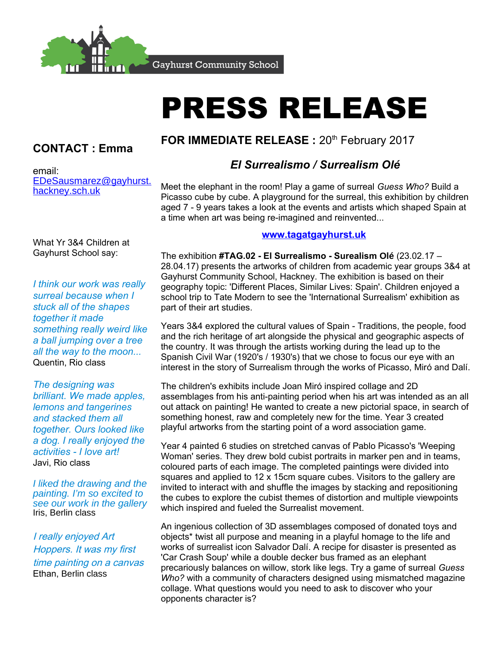

**Gayhurst Community School** 

# PRESS RELEASE

## **CONTACT : Emma**

email: [EDeSausmarez@gayhurst.](mailto:EDeSausmarez@gayhurst.hackney.sch.uk) [hackney.sch.uk](mailto:EDeSausmarez@gayhurst.hackney.sch.uk)

# FOR IMMEDIATE RELEASE : 20<sup>th</sup> February 2017

### *El Surrealismo / Surrealism Olé*

Meet the elephant in the room! Play a game of surreal *Guess Who?* Build a Picasso cube by cube. A playground for the surreal, this exhibition by children aged 7 - 9 years takes a look at the events and artists which shaped Spain at a time when art was being re-imagined and reinvented...

What Yr 3&4 Children at Gayhurst School say:

*I think our work was really surreal because when I stuck all of the shapes together it made something really weird like a ball jumping over a tree all the way to the moon...* Quentin, Rio class

*The designing was brilliant. We made apples, lemons and tangerines and stacked them all together. Ours looked like a dog. I really enjoyed the activities - I love art!* Javi, Rio class

I liked the drawing and the painting. I'm so excited to see our work in the gallery Iris, Berlin class

I really enjoyed Art Hoppers. It was my first time painting on a canvas Ethan, Berlin class

#### **[www.tagatgayhurst.uk](http://www.tagatgayhurst.uk/)**

The exhibition **#TAG.02 - El Surrealismo - Surealism Olé** (23.02.17 – 28.04.17) presents the artworks of children from academic year groups 3&4 at Gayhurst Community School, Hackney. The exhibition is based on their geography topic: 'Different Places, Similar Lives: Spain'. Children enjoyed a school trip to Tate Modern to see the 'International Surrealism' exhibition as part of their art studies.

Years 3&4 explored the cultural values of Spain - Traditions, the people, food and the rich heritage of art alongside the physical and geographic aspects of the country. It was through the artists working during the lead up to the Spanish Civil War (1920's / 1930's) that we chose to focus our eye with an interest in the story of Surrealism through the works of Picasso, Miró and Dalí.

The children's exhibits include Joan Miró inspired collage and 2D assemblages from his anti-painting period when his art was intended as an all out attack on painting! He wanted to create a new pictorial space, in search of something honest, raw and completely new for the time. Year 3 created playful artworks from the starting point of a word association game.

Year 4 painted 6 studies on stretched canvas of Pablo Picasso's 'Weeping Woman' series. They drew bold cubist portraits in marker pen and in teams, coloured parts of each image. The completed paintings were divided into squares and applied to 12 x 15cm square cubes. Visitors to the gallery are invited to interact with and shuffle the images by stacking and repositioning the cubes to explore the cubist themes of distortion and multiple viewpoints which inspired and fueled the Surrealist movement.

An ingenious collection of 3D assemblages composed of donated toys and objects\* twist all purpose and meaning in a playful homage to the life and works of surrealist icon Salvador Dalí. A recipe for disaster is presented as 'Car Crash Soup' while a double decker bus framed as an elephant precariously balances on willow, stork like legs. Try a game of surreal *Guess Who?* with a community of characters designed using mismatched magazine collage. What questions would you need to ask to discover who your opponents character is?